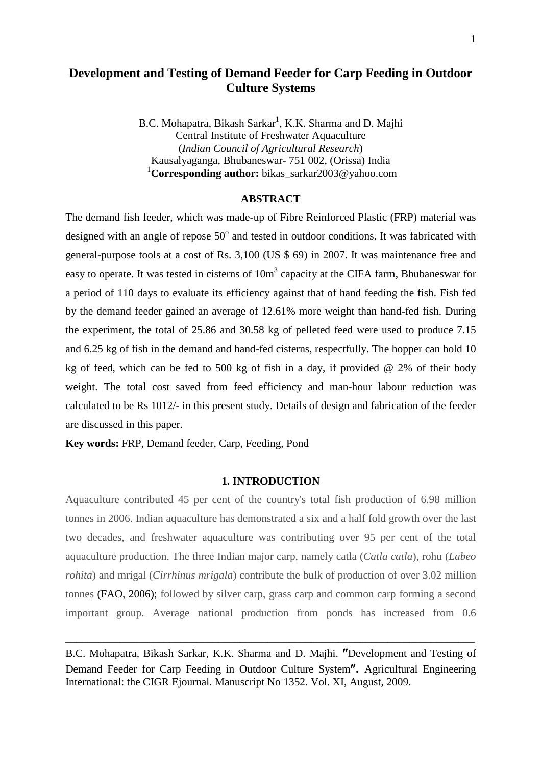# **Development and Testing of Demand Feeder for Carp Feeding in Outdoor Culture Systems**

B.C. Mohapatra, Bikash Sarkar<sup>1</sup>, K.K. Sharma and D. Majhi Central Institute of Freshwater Aquaculture (*Indian Council of Agricultural Research*) Kausalyaganga, Bhubaneswar- 751 002, (Orissa) India 1 **Corresponding author:** bikas\_sarkar2003@yahoo.com

#### **ABSTRACT**

The demand fish feeder, which was made-up of Fibre Reinforced Plastic (FRP) material was designed with an angle of repose  $50^{\circ}$  and tested in outdoor conditions. It was fabricated with general-purpose tools at a cost of Rs. 3,100 (US \$ 69) in 2007. It was maintenance free and easy to operate. It was tested in cisterns of  $10m<sup>3</sup>$  capacity at the CIFA farm, Bhubaneswar for a period of 110 days to evaluate its efficiency against that of hand feeding the fish. Fish fed by the demand feeder gained an average of 12.61% more weight than hand-fed fish. During the experiment, the total of 25.86 and 30.58 kg of pelleted feed were used to produce 7.15 and 6.25 kg of fish in the demand and hand-fed cisterns, respectfully. The hopper can hold 10 kg of feed, which can be fed to 500 kg of fish in a day, if provided @ 2% of their body weight. The total cost saved from feed efficiency and man-hour labour reduction was calculated to be Rs 1012/- in this present study. Details of design and fabrication of the feeder are discussed in this paper.

**Key words:** FRP, Demand feeder, Carp, Feeding, Pond

### **1. INTRODUCTION**

Aquaculture contributed 45 per cent of the country's total fish production of 6.98 million tonnes in 2006. Indian aquaculture has demonstrated a six and a half fold growth over the last two decades, and freshwater aquaculture was contributing over 95 per cent of the total aquaculture production. The three Indian major carp, namely catla (*Catla catla*), rohu (*Labeo rohita*) and mrigal (*Cirrhinus mrigala*) contribute the bulk of production of over 3.02 million tonnes (FAO, 2006); followed by silver carp, grass carp and common carp forming a second important group. Average national production from ponds has increased from 0.6

B.C. Mohapatra, Bikash Sarkar, K.K. Sharma and D. Majhi. ″Development and Testing of Demand Feeder for Carp Feeding in Outdoor Culture System″**.** Agricultural Engineering International: the CIGR Ejournal. Manuscript No 1352. Vol. XI, August, 2009.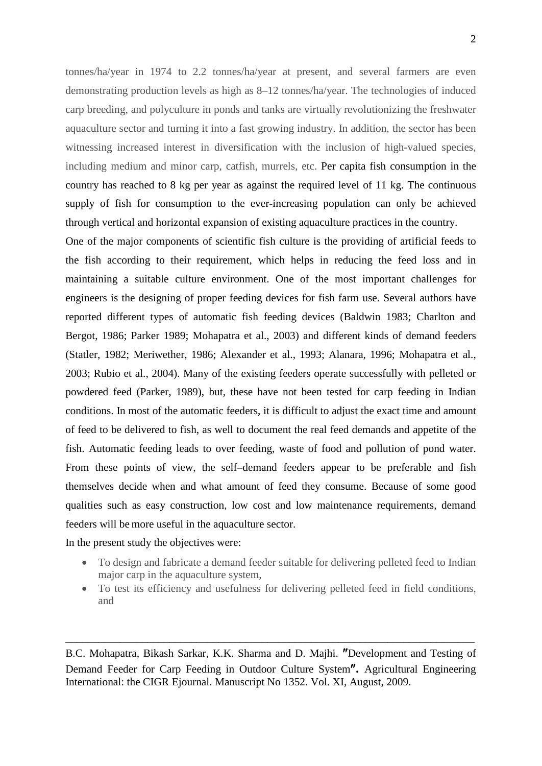tonnes/ha/year in 1974 to 2.2 tonnes/ha/year at present, and several farmers are even demonstrating production levels as high as 8–12 tonnes/ha/year. The technologies of induced carp breeding, and polyculture in ponds and tanks are virtually revolutionizing the freshwater aquaculture sector and turning it into a fast growing industry. In addition, the sector has been witnessing increased interest in diversification with the inclusion of high-valued species, including medium and minor carp, catfish, murrels, etc. Per capita fish consumption in the country has reached to 8 kg per year as against the required level of 11 kg. The continuous supply of fish for consumption to the ever-increasing population can only be achieved through vertical and horizontal expansion of existing aquaculture practices in the country.

One of the major components of scientific fish culture is the providing of artificial feeds to the fish according to their requirement, which helps in reducing the feed loss and in maintaining a suitable culture environment. One of the most important challenges for engineers is the designing of proper feeding devices for fish farm use. Several authors have reported different types of automatic fish feeding devices (Baldwin 1983; Charlton and Bergot, 1986; Parker 1989; Mohapatra et al., 2003) and different kinds of demand feeders (Statler, 1982; Meriwether, 1986; Alexander et al., 1993; Alanara, 1996; Mohapatra et al., 2003; Rubio et al., 2004). Many of the existing feeders operate successfully with pelleted or powdered feed (Parker, 1989), but, these have not been tested for carp feeding in Indian conditions. In most of the automatic feeders, it is difficult to adjust the exact time and amount of feed to be delivered to fish, as well to document the real feed demands and appetite of the fish. Automatic feeding leads to over feeding, waste of food and pollution of pond water. From these points of view, the self–demand feeders appear to be preferable and fish themselves decide when and what amount of feed they consume. Because of some good qualities such as easy construction, low cost and low maintenance requirements, demand feeders will be more useful in the aquaculture sector.

In the present study the objectives were:

- To design and fabricate a demand feeder suitable for delivering pelleted feed to Indian major carp in the aquaculture system,
- To test its efficiency and usefulness for delivering pelleted feed in field conditions, and

B.C. Mohapatra, Bikash Sarkar, K.K. Sharma and D. Majhi. ″Development and Testing of Demand Feeder for Carp Feeding in Outdoor Culture System″**.** Agricultural Engineering International: the CIGR Ejournal. Manuscript No 1352. Vol. XI, August, 2009.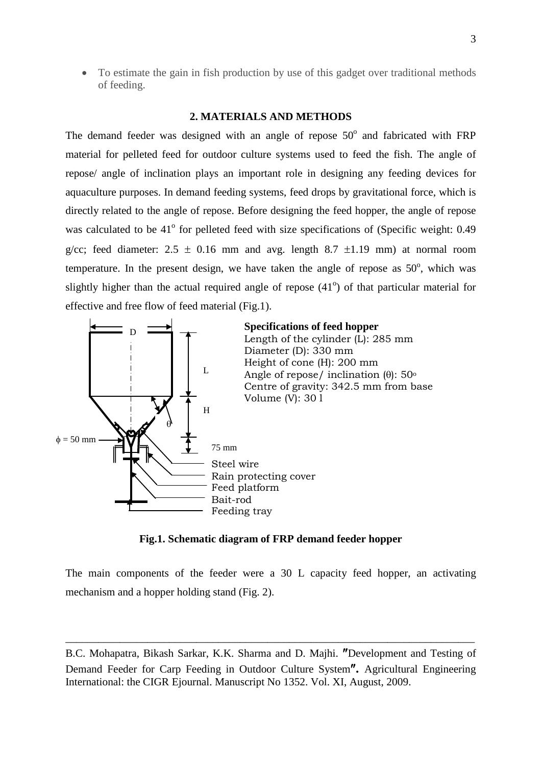• To estimate the gain in fish production by use of this gadget over traditional methods of feeding.

## **2. MATERIALS AND METHODS**

The demand feeder was designed with an angle of repose  $50^{\circ}$  and fabricated with FRP material for pelleted feed for outdoor culture systems used to feed the fish. The angle of repose/ angle of inclination plays an important role in designing any feeding devices for aquaculture purposes. In demand feeding systems, feed drops by gravitational force, which is directly related to the angle of repose. Before designing the feed hopper, the angle of repose was calculated to be  $41^{\circ}$  for pelleted feed with size specifications of (Specific weight: 0.49 g/cc; feed diameter:  $2.5 \pm 0.16$  mm and avg. length  $8.7 \pm 1.19$  mm) at normal room temperature. In the present design, we have taken the angle of repose as  $50^{\circ}$ , which was slightly higher than the actual required angle of repose  $(41^{\circ})$  of that particular material for effective and free flow of feed material (Fig.1).



### **Fig.1. Schematic diagram of FRP demand feeder hopper**

The main components of the feeder were a 30 L capacity feed hopper, an activating mechanism and a hopper holding stand (Fig. 2).

B.C. Mohapatra, Bikash Sarkar, K.K. Sharma and D. Majhi. ″Development and Testing of Demand Feeder for Carp Feeding in Outdoor Culture System″**.** Agricultural Engineering International: the CIGR Ejournal. Manuscript No 1352. Vol. XI, August, 2009.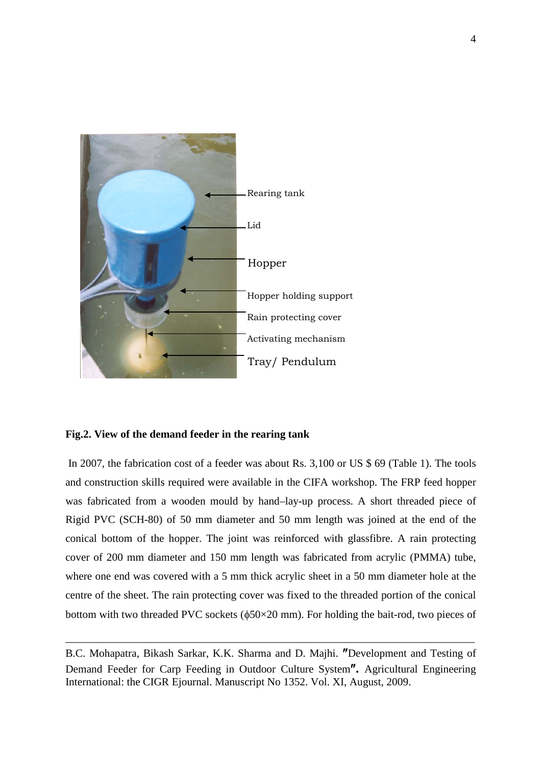

### **Fig.2. View of the demand feeder in the rearing tank**

In 2007, the fabrication cost of a feeder was about Rs. 3,100 or US \$ 69 (Table 1). The tools and construction skills required were available in the CIFA workshop. The FRP feed hopper was fabricated from a wooden mould by hand–lay-up process. A short threaded piece of Rigid PVC (SCH-80) of 50 mm diameter and 50 mm length was joined at the end of the conical bottom of the hopper. The joint was reinforced with glassfibre. A rain protecting cover of 200 mm diameter and 150 mm length was fabricated from acrylic (PMMA) tube, where one end was covered with a 5 mm thick acrylic sheet in a 50 mm diameter hole at the centre of the sheet. The rain protecting cover was fixed to the threaded portion of the conical bottom with two threaded PVC sockets (φ50×20 mm). For holding the bait-rod, two pieces of

B.C. Mohapatra, Bikash Sarkar, K.K. Sharma and D. Majhi. ″Development and Testing of Demand Feeder for Carp Feeding in Outdoor Culture System″**.** Agricultural Engineering International: the CIGR Ejournal. Manuscript No 1352. Vol. XI, August, 2009.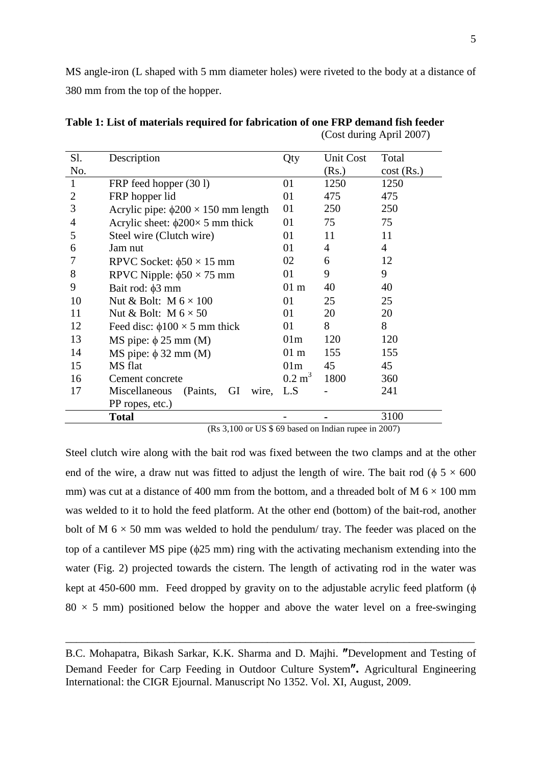MS angle-iron (L shaped with 5 mm diameter holes) were riveted to the body at a distance of 380 mm from the top of the hopper.

| Sl. | Description                                   | Qty               | <b>Unit Cost</b> | Total        |
|-----|-----------------------------------------------|-------------------|------------------|--------------|
| No. |                                               |                   | (Rs.)            | $cost$ (Rs.) |
| 1   | FRP feed hopper (301)                         | 01                | 1250             | 1250         |
| 2   | FRP hopper lid                                | 01                | 475              | 475          |
| 3   | Acrylic pipe: $\phi$ 200 × 150 mm length      | 01                | 250              | 250          |
| 4   | Acrylic sheet: $\phi$ 200 $\times$ 5 mm thick | 01                | 75               | 75           |
| 5   | Steel wire (Clutch wire)                      | 01                | 11               | 11           |
| 6   | Jam nut                                       | 01                | 4                | 4            |
| 7   | RPVC Socket: $\phi$ 50 × 15 mm                | 02                | 6                | 12           |
| 8   | RPVC Nipple: $\phi$ 50 × 75 mm                | 01                | 9                | 9            |
| 9   | Bait rod: $\phi$ 3 mm                         | $01 \text{ m}$    | 40               | 40           |
| 10  | Nut & Bolt: $M 6 \times 100$                  | 01                | 25               | 25           |
| 11  | Nut & Bolt: $M 6 \times 50$                   | 01                | 20               | 20           |
| 12  | Feed disc: $\phi$ 100 × 5 mm thick            | 01                | 8                | 8            |
| 13  | MS pipe: $\phi$ 25 mm (M)                     | 01 <sub>m</sub>   | 120              | 120          |
| 14  | MS pipe: $\phi$ 32 mm (M)                     | $01 \text{ m}$    | 155              | 155          |
| 15  | MS flat                                       | 01m               | 45               | 45           |
| 16  | Cement concrete                               | $0.2 \text{ m}^3$ | 1800             | 360          |
| 17  | GI<br>Miscellaneous<br>(Paints,<br>wire, L.S. |                   |                  | 241          |
|     | PP ropes, etc.)                               |                   |                  |              |
|     | <b>Total</b>                                  |                   |                  | 3100         |

**Table 1: List of materials required for fabrication of one FRP demand fish feeder** (Cost during April 2007)

(Rs 3,100 or US \$ 69 based on Indian rupee in 2007)

Steel clutch wire along with the bait rod was fixed between the two clamps and at the other end of the wire, a draw nut was fitted to adjust the length of wire. The bait rod ( $\phi$  5  $\times$  600 mm) was cut at a distance of 400 mm from the bottom, and a threaded bolt of M  $6 \times 100$  mm was welded to it to hold the feed platform. At the other end (bottom) of the bait-rod, another bolt of M  $6 \times 50$  mm was welded to hold the pendulum/ tray. The feeder was placed on the top of a cantilever MS pipe (φ25 mm) ring with the activating mechanism extending into the water (Fig. 2) projected towards the cistern. The length of activating rod in the water was kept at 450-600 mm. Feed dropped by gravity on to the adjustable acrylic feed platform (φ  $80 \times 5$  mm) positioned below the hopper and above the water level on a free-swinging

B.C. Mohapatra, Bikash Sarkar, K.K. Sharma and D. Majhi. ″Development and Testing of Demand Feeder for Carp Feeding in Outdoor Culture System″**.** Agricultural Engineering International: the CIGR Ejournal. Manuscript No 1352. Vol. XI, August, 2009.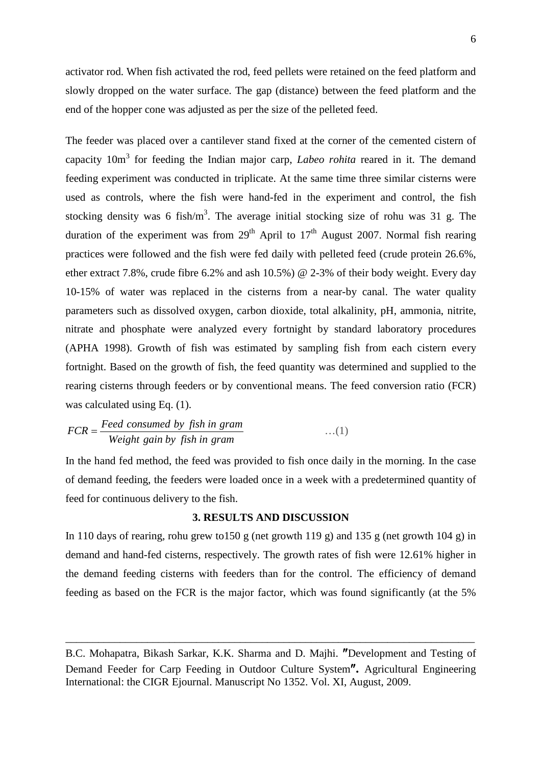activator rod. When fish activated the rod, feed pellets were retained on the feed platform and slowly dropped on the water surface. The gap (distance) between the feed platform and the end of the hopper cone was adjusted as per the size of the pelleted feed.

The feeder was placed over a cantilever stand fixed at the corner of the cemented cistern of capacity 10m<sup>3</sup> for feeding the Indian major carp, *Labeo rohita* reared in it. The demand feeding experiment was conducted in triplicate. At the same time three similar cisterns were used as controls, where the fish were hand-fed in the experiment and control, the fish stocking density was 6 fish/ $m<sup>3</sup>$ . The average initial stocking size of rohu was 31 g. The duration of the experiment was from  $29<sup>th</sup>$  April to  $17<sup>th</sup>$  August 2007. Normal fish rearing practices were followed and the fish were fed daily with pelleted feed (crude protein 26.6%, ether extract 7.8%, crude fibre 6.2% and ash 10.5%) @ 2-3% of their body weight. Every day 10-15% of water was replaced in the cisterns from a near-by canal. The water quality parameters such as dissolved oxygen, carbon dioxide, total alkalinity, pH, ammonia, nitrite, nitrate and phosphate were analyzed every fortnight by standard laboratory procedures (APHA 1998). Growth of fish was estimated by sampling fish from each cistern every fortnight. Based on the growth of fish, the feed quantity was determined and supplied to the rearing cisterns through feeders or by conventional means. The feed conversion ratio (FCR) was calculated using Eq. (1).

$$
FCR = \frac{Feed\ consumed\ by\ fish\ in\ gram}{Weight\ gain\ by\ fish\ in\ gram} \qquad \qquad \dots (1)
$$

In the hand fed method, the feed was provided to fish once daily in the morning. In the case of demand feeding, the feeders were loaded once in a week with a predetermined quantity of feed for continuous delivery to the fish.

### **3. RESULTS AND DISCUSSION**

In 110 days of rearing, rohu grew to  $150$  g (net growth  $119$  g) and  $135$  g (net growth  $104$  g) in demand and hand-fed cisterns, respectively. The growth rates of fish were 12.61% higher in the demand feeding cisterns with feeders than for the control. The efficiency of demand feeding as based on the FCR is the major factor, which was found significantly (at the 5%

B.C. Mohapatra, Bikash Sarkar, K.K. Sharma and D. Majhi. ″Development and Testing of Demand Feeder for Carp Feeding in Outdoor Culture System″**.** Agricultural Engineering International: the CIGR Ejournal. Manuscript No 1352. Vol. XI, August, 2009.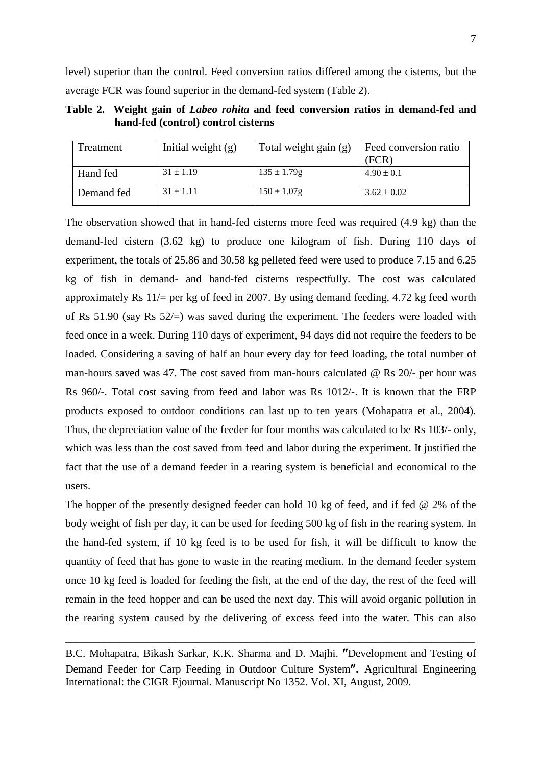level) superior than the control. Feed conversion ratios differed among the cisterns, but the average FCR was found superior in the demand-fed system (Table 2).

**Table 2. Weight gain of** *Labeo rohita* **and feed conversion ratios in demand-fed and hand-fed (control) control cisterns** 

| Treatment  | Initial weight $(g)$ | Total weight gain (g) | Feed conversion ratio |
|------------|----------------------|-----------------------|-----------------------|
|            |                      |                       | (FCR)                 |
| Hand fed   | $31 \pm 1.19$        | $135 \pm 1.79$ g      | $4.90 \pm 0.1$        |
| Demand fed | $31 \pm 1.11$        | $150 \pm 1.07$ g      | $3.62 \pm 0.02$       |

The observation showed that in hand-fed cisterns more feed was required (4.9 kg) than the demand-fed cistern (3.62 kg) to produce one kilogram of fish. During 110 days of experiment, the totals of 25.86 and 30.58 kg pelleted feed were used to produce 7.15 and 6.25 kg of fish in demand- and hand-fed cisterns respectfully. The cost was calculated approximately Rs  $11/$  per kg of feed in 2007. By using demand feeding, 4.72 kg feed worth of Rs 51.90 (say Rs 52/=) was saved during the experiment. The feeders were loaded with feed once in a week. During 110 days of experiment, 94 days did not require the feeders to be loaded. Considering a saving of half an hour every day for feed loading, the total number of man-hours saved was 47. The cost saved from man-hours calculated @ Rs 20/- per hour was Rs 960/-. Total cost saving from feed and labor was Rs 1012/-. It is known that the FRP products exposed to outdoor conditions can last up to ten years (Mohapatra et al., 2004). Thus, the depreciation value of the feeder for four months was calculated to be Rs 103/- only, which was less than the cost saved from feed and labor during the experiment. It justified the fact that the use of a demand feeder in a rearing system is beneficial and economical to the users.

The hopper of the presently designed feeder can hold 10 kg of feed, and if fed @ 2% of the body weight of fish per day, it can be used for feeding 500 kg of fish in the rearing system. In the hand-fed system, if 10 kg feed is to be used for fish, it will be difficult to know the quantity of feed that has gone to waste in the rearing medium. In the demand feeder system once 10 kg feed is loaded for feeding the fish, at the end of the day, the rest of the feed will remain in the feed hopper and can be used the next day. This will avoid organic pollution in the rearing system caused by the delivering of excess feed into the water. This can also

B.C. Mohapatra, Bikash Sarkar, K.K. Sharma and D. Majhi. ″Development and Testing of Demand Feeder for Carp Feeding in Outdoor Culture System″**.** Agricultural Engineering International: the CIGR Ejournal. Manuscript No 1352. Vol. XI, August, 2009.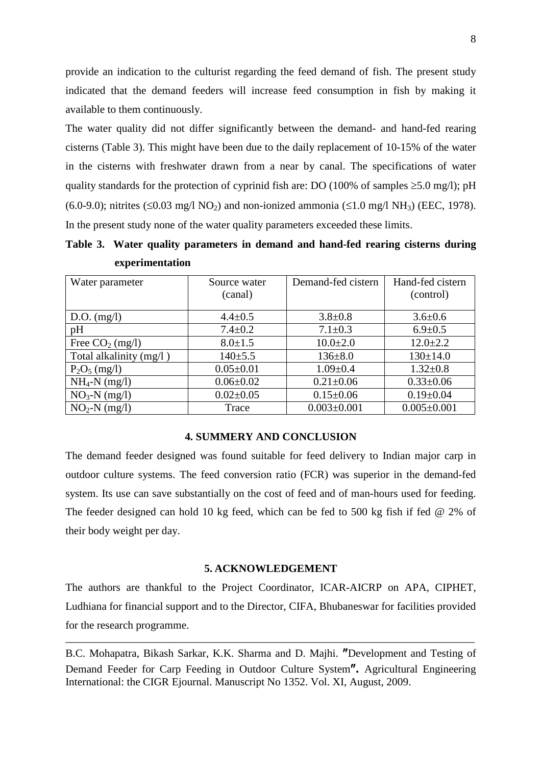provide an indication to the culturist regarding the feed demand of fish. The present study indicated that the demand feeders will increase feed consumption in fish by making it available to them continuously.

The water quality did not differ significantly between the demand- and hand-fed rearing cisterns (Table 3). This might have been due to the daily replacement of 10-15% of the water in the cisterns with freshwater drawn from a near by canal. The specifications of water quality standards for the protection of cyprinid fish are: DO (100% of samples  $\geq$ 5.0 mg/l); pH (6.0-9.0); nitrites (≤0.03 mg/l NO<sub>2</sub>) and non-ionized ammonia (≤1.0 mg/l NH<sub>3</sub>) (EEC, 1978). In the present study none of the water quality parameters exceeded these limits.

**Table 3. Water quality parameters in demand and hand-fed rearing cisterns during experimentation**

| Water parameter         | Source water<br>(canal) | Demand-fed cistern | Hand-fed cistern<br>(control) |
|-------------------------|-------------------------|--------------------|-------------------------------|
| $D.O.$ (mg/l)           | $4.4 \pm 0.5$           | $3.8 \pm 0.8$      | $3.6 \pm 0.6$                 |
| pH                      | $7.4 \pm 0.2$           | $7.1 \pm 0.3$      | $6.9 \pm 0.5$                 |
| Free $CO2$ (mg/l)       | $8.0 \pm 1.5$           | $10.0 \pm 2.0$     | $12.0 \pm 2.2$                |
| Total alkalinity (mg/l) | $140+5.5$               | $136 \pm 8.0$      | $130 \pm 14.0$                |
| $P_2O_5$ (mg/l)         | $0.05 \pm 0.01$         | $1.09 \pm 0.4$     | $1.32 \pm 0.8$                |
| $NH_4-N$ (mg/l)         | $0.06 \pm 0.02$         | $0.21 \pm 0.06$    | $0.33 \pm 0.06$               |
| $NO3-N$ (mg/l)          | $0.02 \pm 0.05$         | $0.15 \pm 0.06$    | $0.19 \pm 0.04$               |
| $NO2-N (mg/l)$          | Trace                   | $0.003 \pm 0.001$  | $0.005 \pm 0.001$             |

## **4. SUMMERY AND CONCLUSION**

The demand feeder designed was found suitable for feed delivery to Indian major carp in outdoor culture systems. The feed conversion ratio (FCR) was superior in the demand-fed system. Its use can save substantially on the cost of feed and of man-hours used for feeding. The feeder designed can hold 10 kg feed, which can be fed to 500 kg fish if fed @ 2% of their body weight per day.

#### **5. ACKNOWLEDGEMENT**

The authors are thankful to the Project Coordinator, ICAR-AICRP on APA, CIPHET, Ludhiana for financial support and to the Director, CIFA, Bhubaneswar for facilities provided for the research programme.

B.C. Mohapatra, Bikash Sarkar, K.K. Sharma and D. Majhi. ″Development and Testing of Demand Feeder for Carp Feeding in Outdoor Culture System″**.** Agricultural Engineering International: the CIGR Ejournal. Manuscript No 1352. Vol. XI, August, 2009.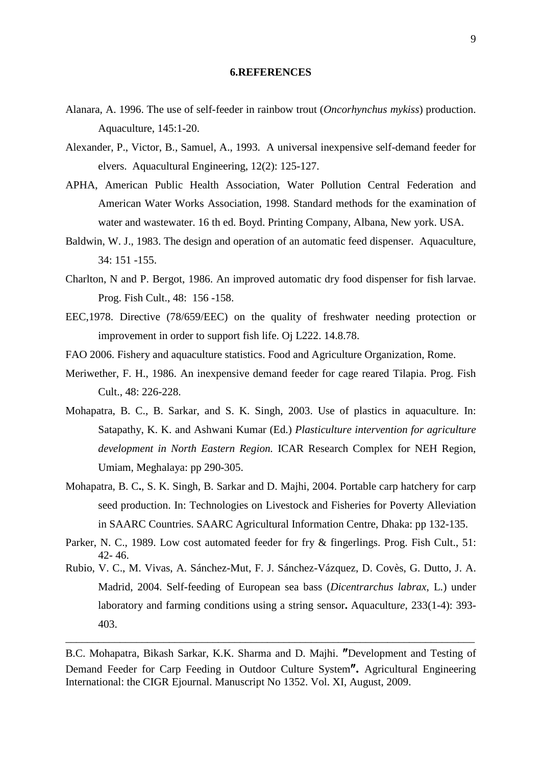#### **6.REFERENCES**

- Alanara, A. 1996. The use of self-feeder in rainbow trout (*Oncorhynchus mykiss*) production. Aquaculture, 145:1-20.
- Alexander, P., Victor, B., Samuel, A., 1993. A universal inexpensive self-demand feeder for elvers. Aquacultural Engineering, 12(2): 125-127.
- APHA, American Public Health Association, Water Pollution Central Federation and American Water Works Association, 1998. Standard methods for the examination of water and wastewater. 16 th ed. Boyd. Printing Company, Albana, New york. USA.
- Baldwin, W. J., 1983. The design and operation of an automatic feed dispenser. Aquaculture*,* 34: 151 -155.
- Charlton, N and P. Bergot, 1986. An improved automatic dry food dispenser for fish larvae. Prog. Fish Cult., 48: 156 -158.
- EEC,1978. Directive (78/659/EEC) on the quality of freshwater needing protection or improvement in order to support fish life. Oj L222. 14.8.78.
- FAO 2006. Fishery and aquaculture statistics. Food and Agriculture Organization, Rome.
- Meriwether, F. H., 1986. An inexpensive demand feeder for cage reared Tilapia. Prog. Fish Cult., 48: 226-228.
- Mohapatra, B. C., B. Sarkar, and S. K. Singh, 2003. Use of plastics in aquaculture. In: Satapathy, K. K. and Ashwani Kumar (Ed.) *Plasticulture intervention for agriculture development in North Eastern Region.* ICAR Research Complex for NEH Region, Umiam, Meghalaya: pp 290-305.
- Mohapatra, B. C**.**, S. K. Singh, B. Sarkar and D. Majhi, 2004. Portable carp hatchery for carp seed production. In: Technologies on Livestock and Fisheries for Poverty Alleviation in SAARC Countries. SAARC Agricultural Information Centre, Dhaka: pp 132-135.
- Parker, N. C., 1989. Low cost automated feeder for fry & fingerlings. Prog. Fish Cult., 51: 42- 46.
- Rubio, V. C., M. Vivas, A. Sánchez-Mut, F. J. Sánchez-Vázquez, D. Covès, G. Dutto, J. A. Madrid, 2004. [Self-feeding of European sea bass \(](http://www.sciencedirect.com/science?_ob=ArticleURL&_udi=B6T4D-4B5JPDS-3&_user=10&_coverDate=04%2F26%2F2004&_alid=827097820&_rdoc=24&_fmt=high&_orig=search&_cdi=4972&_sort=d&_docanchor=&view=c&_ct=89&_acct=C000050221&_version=1&_urlVersion=0&_u)*Dicentrarchus labrax*, L.) under [laboratory and farming conditions using a string sensor](http://www.sciencedirect.com/science?_ob=ArticleURL&_udi=B6T4D-4B5JPDS-3&_user=10&_coverDate=04%2F26%2F2004&_alid=827097820&_rdoc=24&_fmt=high&_orig=search&_cdi=4972&_sort=d&_docanchor=&view=c&_ct=89&_acct=C000050221&_version=1&_urlVersion=0&_u)**.** Aquacultur*e*, 233(1-4): 393- 403.

B.C. Mohapatra, Bikash Sarkar, K.K. Sharma and D. Majhi. ″Development and Testing of Demand Feeder for Carp Feeding in Outdoor Culture System″**.** Agricultural Engineering International: the CIGR Ejournal. Manuscript No 1352. Vol. XI, August, 2009.